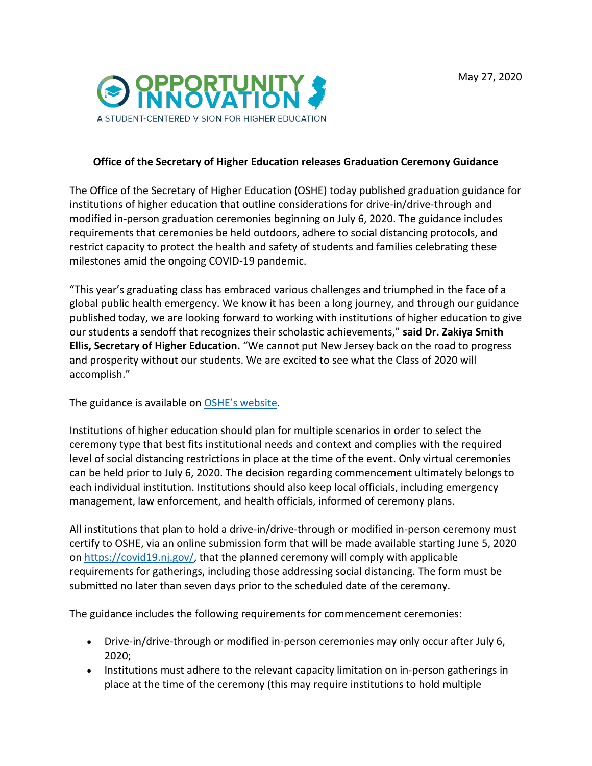

## **Office of the Secretary of Higher Education releases Graduation Ceremony Guidance**

The Office of the Secretary of Higher Education (OSHE) today published graduation guidance for institutions of higher education that outline considerations for drive-in/drive-through and modified in-person graduation ceremonies beginning on July 6, 2020. The guidance includes requirements that ceremonies be held outdoors, adhere to social distancing protocols, and restrict capacity to protect the health and safety of students and families celebrating these milestones amid the ongoing COVID-19 pandemic.

"This year's graduating class has embraced various challenges and triumphed in the face of a global public health emergency. We know it has been a long journey, and through our guidance published today, we are looking forward to working with institutions of higher education to give our students a sendoff that recognizes their scholastic achievements," **said Dr. Zakiya Smith Ellis, Secretary of Higher Education.** "We cannot put New Jersey back on the road to progress and prosperity without our students. We are excited to see what the Class of 2020 will accomplish."

The guidance is available on [OSHE's website.](https://nj.gov/highereducation/documents/pdf/index/OSHE-In-Person-College-Graduations.pdf)

Institutions of higher education should plan for multiple scenarios in order to select the ceremony type that best fits institutional needs and context and complies with the required level of social distancing restrictions in place at the time of the event. Only virtual ceremonies can be held prior to July 6, 2020. The decision regarding commencement ultimately belongs to each individual institution. Institutions should also keep local officials, including emergency management, law enforcement, and health officials, informed of ceremony plans.

All institutions that plan to hold a drive-in/drive-through or modified in-person ceremony must certify to OSHE, via an online submission form that will be made available starting June 5, 2020 on [https://covid19.nj.gov/,](https://covid19.nj.gov/) that the planned ceremony will comply with applicable requirements for gatherings, including those addressing social distancing. The form must be submitted no later than seven days prior to the scheduled date of the ceremony.

The guidance includes the following requirements for commencement ceremonies:

- Drive-in/drive-through or modified in-person ceremonies may only occur after July 6, 2020;
- Institutions must adhere to the relevant capacity limitation on in-person gatherings in place at the time of the ceremony (this may require institutions to hold multiple